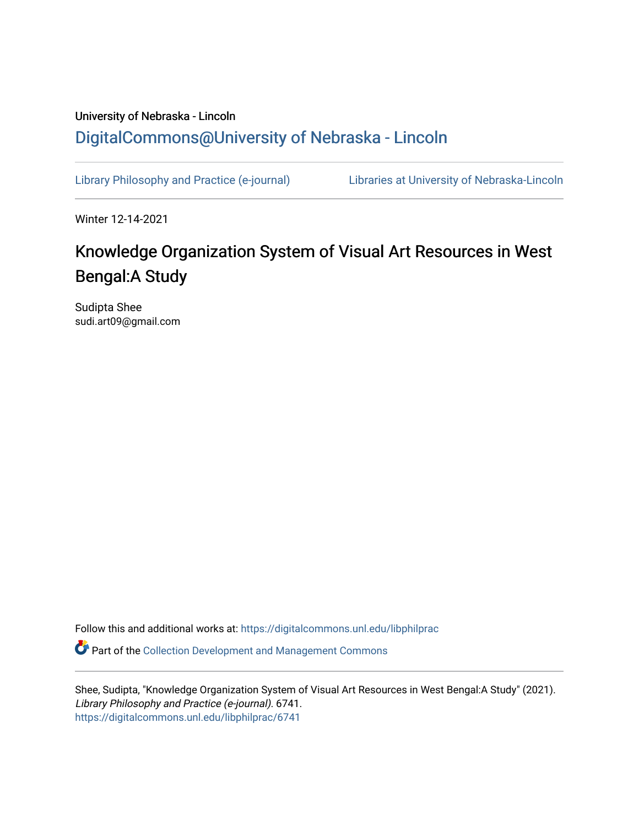# University of Nebraska - Lincoln [DigitalCommons@University of Nebraska - Lincoln](https://digitalcommons.unl.edu/)

[Library Philosophy and Practice \(e-journal\)](https://digitalcommons.unl.edu/libphilprac) [Libraries at University of Nebraska-Lincoln](https://digitalcommons.unl.edu/libraries) 

Winter 12-14-2021

# Knowledge Organization System of Visual Art Resources in West Bengal:A Study

Sudipta Shee sudi.art09@gmail.com

Follow this and additional works at: [https://digitalcommons.unl.edu/libphilprac](https://digitalcommons.unl.edu/libphilprac?utm_source=digitalcommons.unl.edu%2Flibphilprac%2F6741&utm_medium=PDF&utm_campaign=PDFCoverPages) 

Part of the [Collection Development and Management Commons](http://network.bepress.com/hgg/discipline/1271?utm_source=digitalcommons.unl.edu%2Flibphilprac%2F6741&utm_medium=PDF&utm_campaign=PDFCoverPages) 

Shee, Sudipta, "Knowledge Organization System of Visual Art Resources in West Bengal:A Study" (2021). Library Philosophy and Practice (e-journal). 6741. [https://digitalcommons.unl.edu/libphilprac/6741](https://digitalcommons.unl.edu/libphilprac/6741?utm_source=digitalcommons.unl.edu%2Flibphilprac%2F6741&utm_medium=PDF&utm_campaign=PDFCoverPages)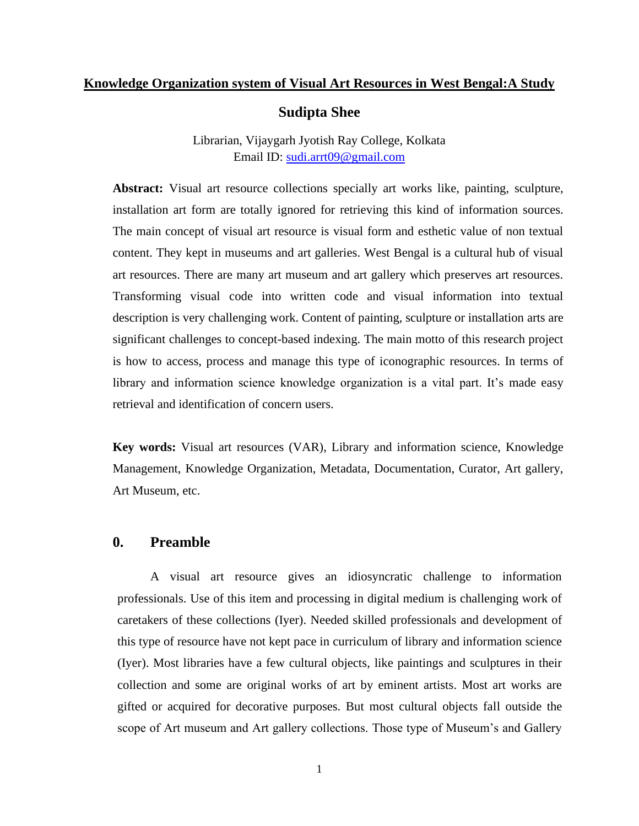#### **Knowledge Organization system of Visual Art Resources in West Bengal:A Study**

### **Sudipta Shee**

Librarian, Vijaygarh Jyotish Ray College, Kolkata Email ID: [sudi.arrt09@gmail.com](mailto:sudi.arrt09@gmail.com)

**Abstract:** Visual art resource collections specially art works like, painting, sculpture, installation art form are totally ignored for retrieving this kind of information sources. The main concept of visual art resource is visual form and esthetic value of non textual content. They kept in museums and art galleries. West Bengal is a cultural hub of visual art resources. There are many art museum and art gallery which preserves art resources. Transforming visual code into written code and visual information into textual description is very challenging work. Content of painting, sculpture or installation arts are significant challenges to concept-based indexing. The main motto of this research project is how to access, process and manage this type of iconographic resources. In terms of library and information science knowledge organization is a vital part. It's made easy retrieval and identification of concern users.

**Key words:** Visual art resources (VAR), Library and information science, Knowledge Management, Knowledge Organization, Metadata, Documentation, Curator, Art gallery, Art Museum, etc.

## **0. Preamble**

A visual art resource gives an idiosyncratic challenge to information professionals. Use of this item and processing in digital medium is challenging work of caretakers of these collections (Iyer). Needed skilled professionals and development of this type of resource have not kept pace in curriculum of library and information science (Iyer). Most libraries have a few cultural objects, like paintings and sculptures in their collection and some are original works of art by eminent artists. Most art works are gifted or acquired for decorative purposes. But most cultural objects fall outside the scope of Art museum and Art gallery collections. Those type of Museum's and Gallery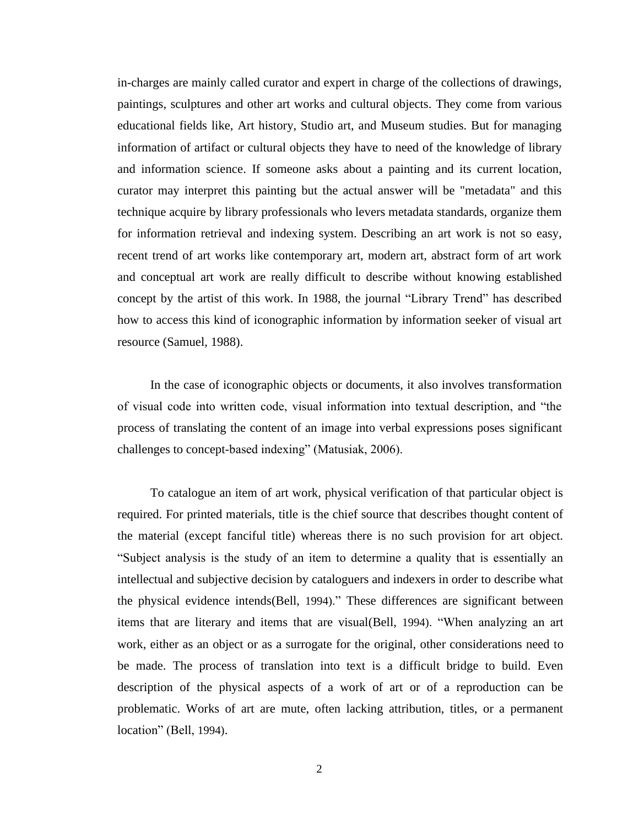in-charges are mainly called curator and expert in charge of the collections of drawings, paintings, sculptures and other art works and cultural objects. They come from various educational fields like, Art history, Studio art, and Museum studies. But for managing information of artifact or cultural objects they have to need of the knowledge of library and information science. If someone asks about a painting and its current location, curator may interpret this painting but the actual answer will be "metadata" and this technique acquire by library professionals who levers metadata standards, organize them for information retrieval and indexing system. Describing an art work is not so easy, recent trend of art works like contemporary art, modern art, abstract form of art work and conceptual art work are really difficult to describe without knowing established concept by the artist of this work. In 1988, the journal "Library Trend" has described how to access this kind of iconographic information by information seeker of visual art resource (Samuel, 1988).

In the case of iconographic objects or documents, it also involves transformation of visual code into written code, visual information into textual description, and "the process of translating the content of an image into verbal expressions poses significant challenges to concept-based indexing" (Matusiak, 2006).

To catalogue an item of art work, physical verification of that particular object is required. For printed materials, title is the chief source that describes thought content of the material (except fanciful title) whereas there is no such provision for art object. "Subject analysis is the study of an item to determine a quality that is essentially an intellectual and subjective decision by cataloguers and indexers in order to describe what the physical evidence intends(Bell, 1994)." These differences are significant between items that are literary and items that are visual(Bell, 1994). "When analyzing an art work, either as an object or as a surrogate for the original, other considerations need to be made. The process of translation into text is a difficult bridge to build. Even description of the physical aspects of a work of art or of a reproduction can be problematic. Works of art are mute, often lacking attribution, titles, or a permanent location" (Bell, 1994).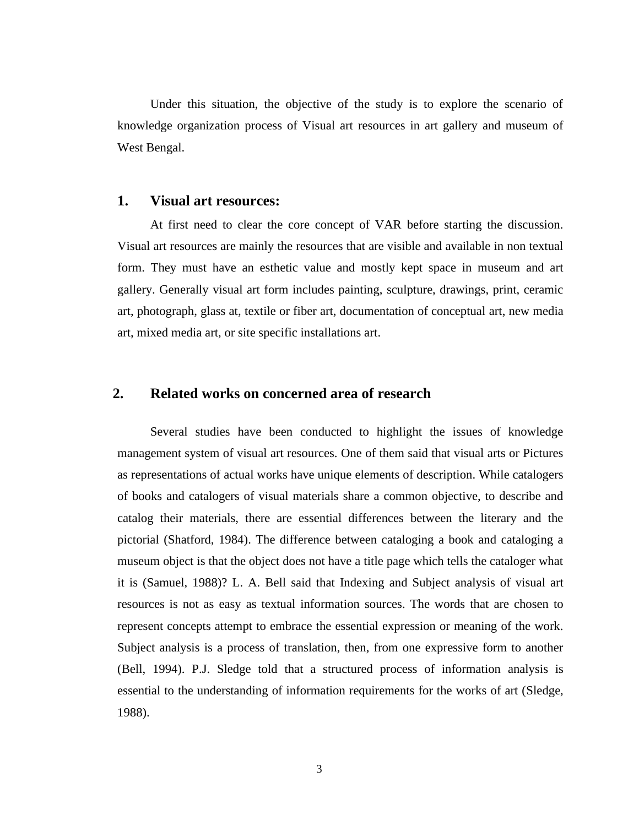Under this situation, the objective of the study is to explore the scenario of knowledge organization process of Visual art resources in art gallery and museum of West Bengal.

#### **1. Visual art resources:**

At first need to clear the core concept of VAR before starting the discussion. Visual art resources are mainly the resources that are visible and available in non textual form. They must have an esthetic value and mostly kept space in museum and art gallery. Generally visual art form includes painting, sculpture, drawings, print, ceramic art, photograph, glass at, textile or fiber art, documentation of conceptual art, new media art, mixed media art, or site specific installations art.

## **2. Related works on concerned area of research**

Several studies have been conducted to highlight the issues of knowledge management system of visual art resources. One of them said that visual arts or Pictures as representations of actual works have unique elements of description. While catalogers of books and catalogers of visual materials share a common objective, to describe and catalog their materials, there are essential differences between the literary and the pictorial (Shatford, 1984). The difference between cataloging a book and cataloging a museum object is that the object does not have a title page which tells the cataloger what it is (Samuel, 1988)? L. A. Bell said that Indexing and Subject analysis of visual art resources is not as easy as textual information sources. The words that are chosen to represent concepts attempt to embrace the essential expression or meaning of the work. Subject analysis is a process of translation, then, from one expressive form to another (Bell, 1994). P.J. Sledge told that a structured process of information analysis is essential to the understanding of information requirements for the works of art (Sledge, 1988).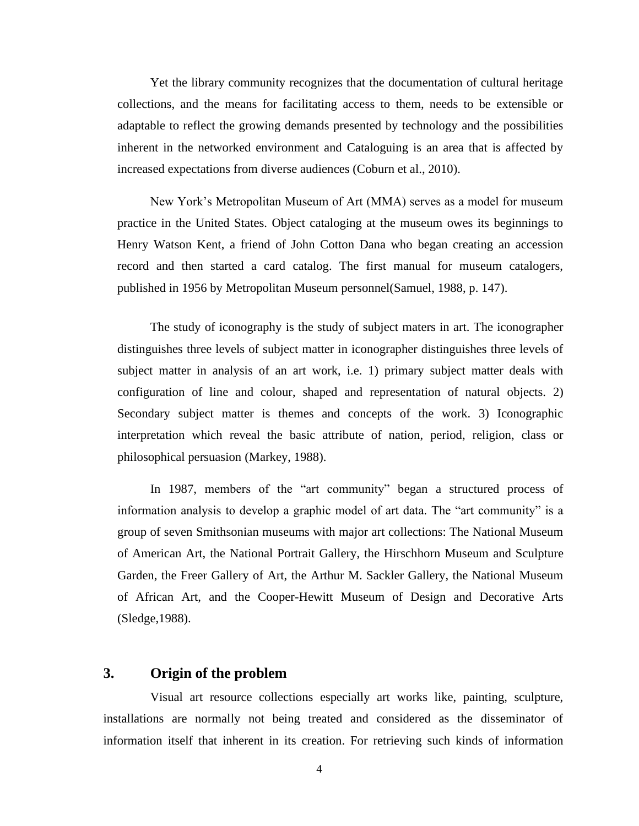Yet the library community recognizes that the documentation of cultural heritage collections, and the means for facilitating access to them, needs to be extensible or adaptable to reflect the growing demands presented by technology and the possibilities inherent in the networked environment and Cataloguing is an area that is affected by increased expectations from diverse audiences (Coburn et al., 2010).

New York's Metropolitan Museum of Art (MMA) serves as a model for museum practice in the United States. Object cataloging at the museum owes its beginnings to Henry Watson Kent, a friend of John Cotton Dana who began creating an accession record and then started a card catalog. The first manual for museum catalogers, published in 1956 by Metropolitan Museum personnel(Samuel, 1988, p. 147).

The study of iconography is the study of subject maters in art. The iconographer distinguishes three levels of subject matter in iconographer distinguishes three levels of subject matter in analysis of an art work, i.e. 1) primary subject matter deals with configuration of line and colour, shaped and representation of natural objects. 2) Secondary subject matter is themes and concepts of the work. 3) Iconographic interpretation which reveal the basic attribute of nation, period, religion, class or philosophical persuasion (Markey, 1988).

In 1987, members of the "art community" began a structured process of information analysis to develop a graphic model of art data. The "art community" is a group of seven Smithsonian museums with major art collections: The National Museum of American Art, the National Portrait Gallery, the Hirschhorn Museum and Sculpture Garden, the Freer Gallery of Art, the Arthur M. Sackler Gallery, the National Museum of African Art, and the Cooper-Hewitt Museum of Design and Decorative Arts (Sledge,1988).

# **3. Origin of the problem**

Visual art resource collections especially art works like, painting, sculpture, installations are normally not being treated and considered as the disseminator of information itself that inherent in its creation. For retrieving such kinds of information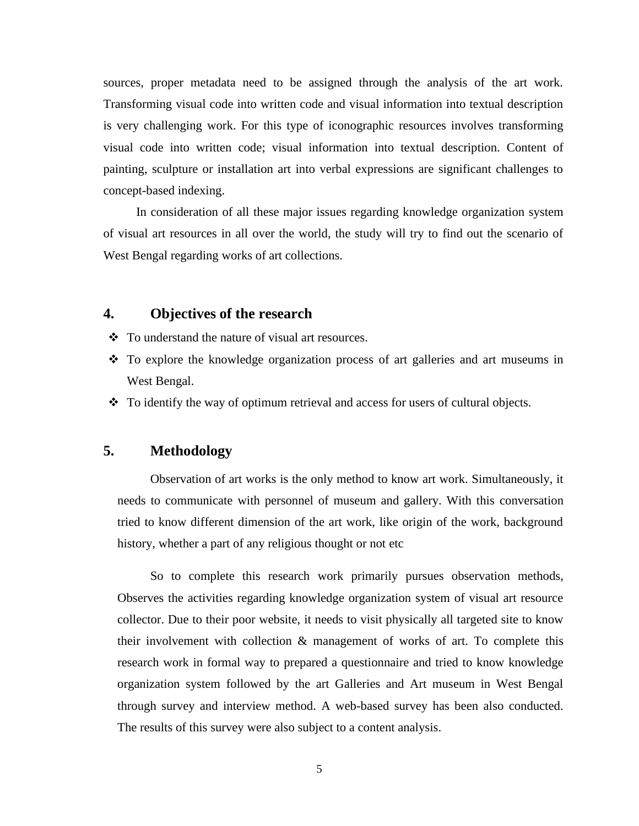sources, proper metadata need to be assigned through the analysis of the art work. Transforming visual code into written code and visual information into textual description is very challenging work. For this type of iconographic resources involves transforming visual code into written code; visual information into textual description. Content of painting, sculpture or installation art into verbal expressions are significant challenges to concept-based indexing.

In consideration of all these major issues regarding knowledge organization system of visual art resources in all over the world, the study will try to find out the scenario of West Bengal regarding works of art collections.

## **4. Objectives of the research**

- ❖ To understand the nature of visual art resources.
- ❖ To explore the knowledge organization process of art galleries and art museums in West Bengal.
- ❖ To identify the way of optimum retrieval and access for users of cultural objects.

## **5. Methodology**

Observation of art works is the only method to know art work. Simultaneously, it needs to communicate with personnel of museum and gallery. With this conversation tried to know different dimension of the art work, like origin of the work, background history, whether a part of any religious thought or not etc

So to complete this research work primarily pursues observation methods, Observes the activities regarding knowledge organization system of visual art resource collector. Due to their poor website, it needs to visit physically all targeted site to know their involvement with collection & management of works of art. To complete this research work in formal way to prepared a questionnaire and tried to know knowledge organization system followed by the art Galleries and Art museum in West Bengal through survey and interview method. A web-based survey has been also conducted. The results of this survey were also subject to a content analysis.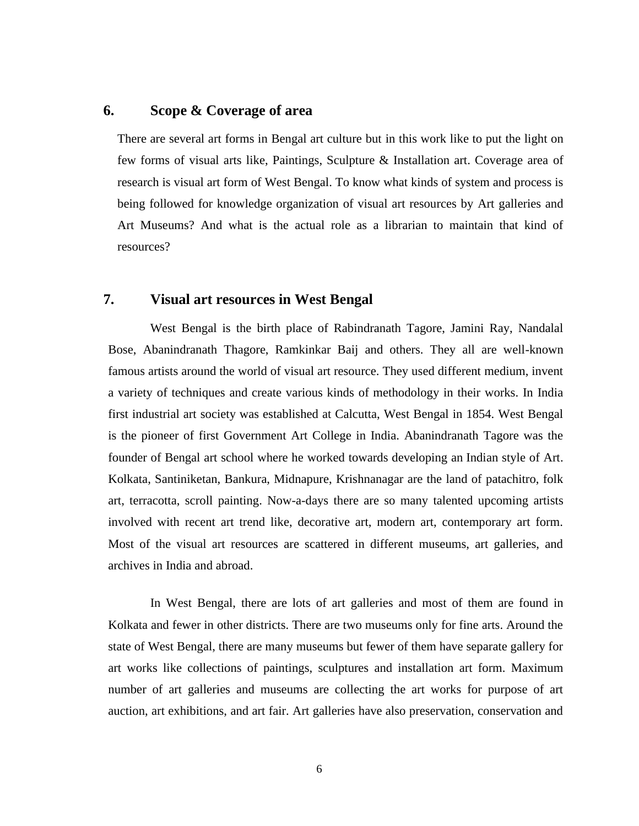## **6. Scope & Coverage of area**

There are several art forms in Bengal art culture but in this work like to put the light on few forms of visual arts like, Paintings, Sculpture & Installation art. Coverage area of research is visual art form of West Bengal. To know what kinds of system and process is being followed for knowledge organization of visual art resources by Art galleries and Art Museums? And what is the actual role as a librarian to maintain that kind of resources?

## **7. Visual art resources in West Bengal**

West Bengal is the birth place of Rabindranath Tagore, Jamini Ray, Nandalal Bose, Abanindranath Thagore, Ramkinkar Baij and others. They all are well-known famous artists around the world of visual art resource. They used different medium, invent a variety of techniques and create various kinds of methodology in their works. In India first industrial art society was established at Calcutta, West Bengal in 1854. West Bengal is the pioneer of first Government Art College in India. Abanindranath Tagore was the founder of Bengal art school where he worked towards developing an Indian style of Art. Kolkata, Santiniketan, Bankura, Midnapure, Krishnanagar are the land of patachitro, folk art, terracotta, scroll painting. Now-a-days there are so many talented upcoming artists involved with recent art trend like, decorative art, modern art, contemporary art form. Most of the visual art resources are scattered in different museums, art galleries, and archives in India and abroad.

In West Bengal, there are lots of art galleries and most of them are found in Kolkata and fewer in other districts. There are two museums only for fine arts. Around the state of West Bengal, there are many museums but fewer of them have separate gallery for art works like collections of paintings, sculptures and installation art form. Maximum number of art galleries and museums are collecting the art works for purpose of art auction, art exhibitions, and art fair. Art galleries have also preservation, conservation and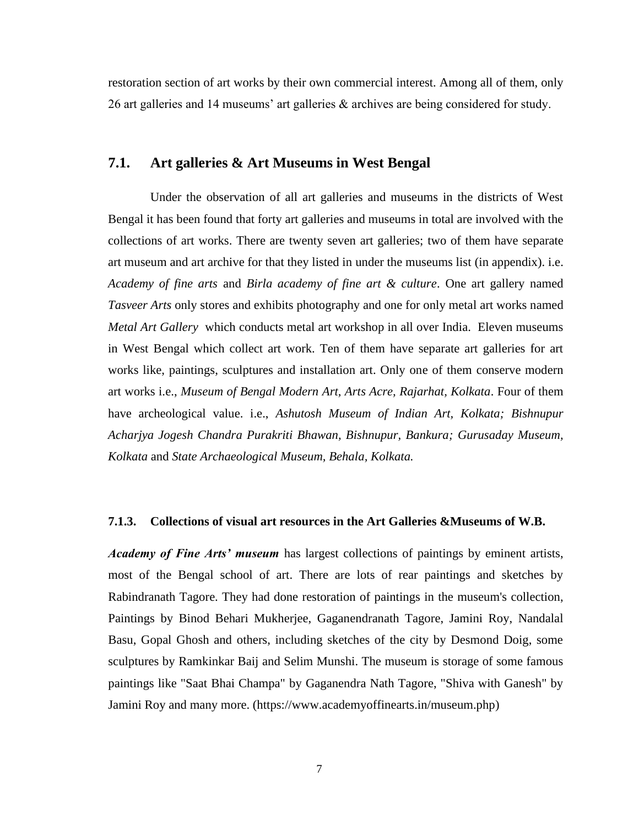restoration section of art works by their own commercial interest. Among all of them, only 26 art galleries and 14 museums' art galleries & archives are being considered for study.

### **7.1. Art galleries & Art Museums in West Bengal**

Under the observation of all art galleries and museums in the districts of West Bengal it has been found that forty art galleries and museums in total are involved with the collections of art works. There are twenty seven art galleries; two of them have separate art museum and art archive for that they listed in under the museums list (in appendix). i.e. *Academy of fine arts* and *Birla academy of fine art & culture*. One art gallery named *Tasveer Arts* only stores and exhibits photography and one for only metal art works named *Metal Art Gallery* which conducts metal art workshop in all over India. Eleven museums in West Bengal which collect art work. Ten of them have separate art galleries for art works like, paintings, sculptures and installation art. Only one of them conserve modern art works i.e., *Museum of Bengal Modern Art, Arts Acre, Rajarhat, Kolkata*. Four of them have archeological value. i.e., *Ashutosh Museum of Indian Art, Kolkata; Bishnupur Acharjya Jogesh Chandra Purakriti Bhawan, Bishnupur, Bankura; Gurusaday Museum, Kolkata* and *State Archaeological Museum, Behala, Kolkata.*

#### **7.1.3. Collections of visual art resources in the Art Galleries &Museums of W.B.**

*Academy of Fine Arts' museum* has largest collections of paintings by eminent artists, most of the Bengal school of art. There are lots of rear paintings and sketches by Rabindranath Tagore. They had done restoration of paintings in the museum's collection, Paintings by Binod Behari Mukherjee, Gaganendranath Tagore, Jamini Roy, Nandalal Basu, Gopal Ghosh and others, including sketches of the city by Desmond Doig, some sculptures by Ramkinkar Baij and Selim Munshi. The museum is storage of some famous paintings like "Saat Bhai Champa" by Gaganendra Nath Tagore, "Shiva with Ganesh" by Jamini Roy and many more. (https://www.academyoffinearts.in/museum.php)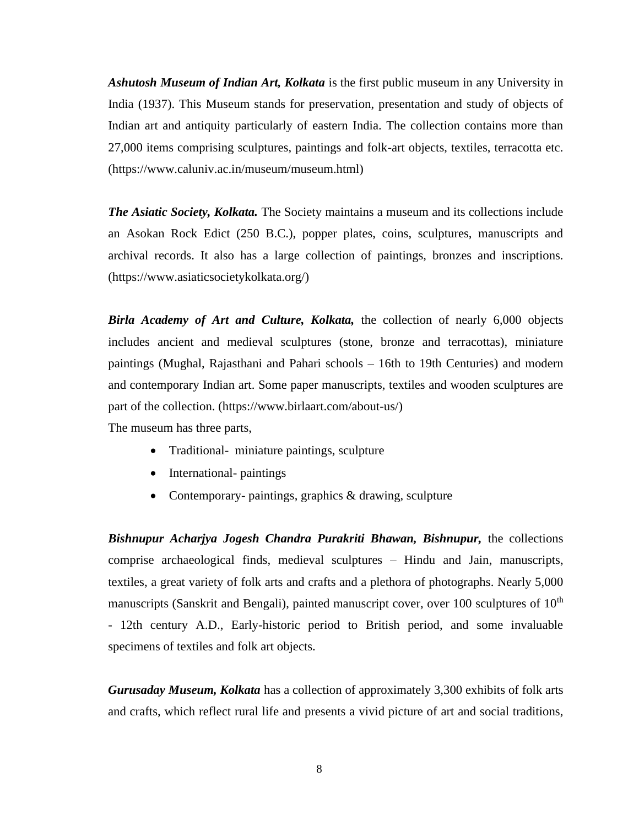*Ashutosh Museum of Indian Art, Kolkata* is the first public museum in any University in India (1937). This Museum stands for preservation, presentation and study of objects of Indian art and antiquity particularly of eastern India. The collection contains more than 27,000 items comprising sculptures, paintings and folk-art objects, textiles, terracotta etc. (https://www.caluniv.ac.in/museum/museum.html)

*The Asiatic Society, Kolkata.* The Society maintains a museum and its collections include an Asokan Rock Edict (250 B.C.), popper plates, coins, sculptures, manuscripts and archival records. It also has a large collection of paintings, bronzes and inscriptions. (https://www.asiaticsocietykolkata.org/)

*Birla Academy of Art and Culture, Kolkata,* the collection of nearly 6,000 objects includes ancient and medieval sculptures (stone, bronze and terracottas), miniature paintings (Mughal, Rajasthani and Pahari schools – 16th to 19th Centuries) and modern and contemporary Indian art. Some paper manuscripts, textiles and wooden sculptures are part of the collection. (https://www.birlaart.com/about-us/)

The museum has three parts,

- Traditional- miniature paintings, sculpture
- International- paintings
- Contemporary- paintings, graphics & drawing, sculpture

*Bishnupur Acharjya Jogesh Chandra Purakriti Bhawan, Bishnupur,* the collections comprise archaeological finds, medieval sculptures – Hindu and Jain, manuscripts, textiles, a great variety of folk arts and crafts and a plethora of photographs. Nearly 5,000 manuscripts (Sanskrit and Bengali), painted manuscript cover, over 100 sculptures of  $10<sup>th</sup>$ - 12th century A.D., Early-historic period to British period, and some invaluable specimens of textiles and folk art objects.

*Gurusaday Museum, Kolkata* has a collection of approximately 3,300 exhibits of folk arts and crafts, which reflect rural life and presents a vivid picture of art and social traditions,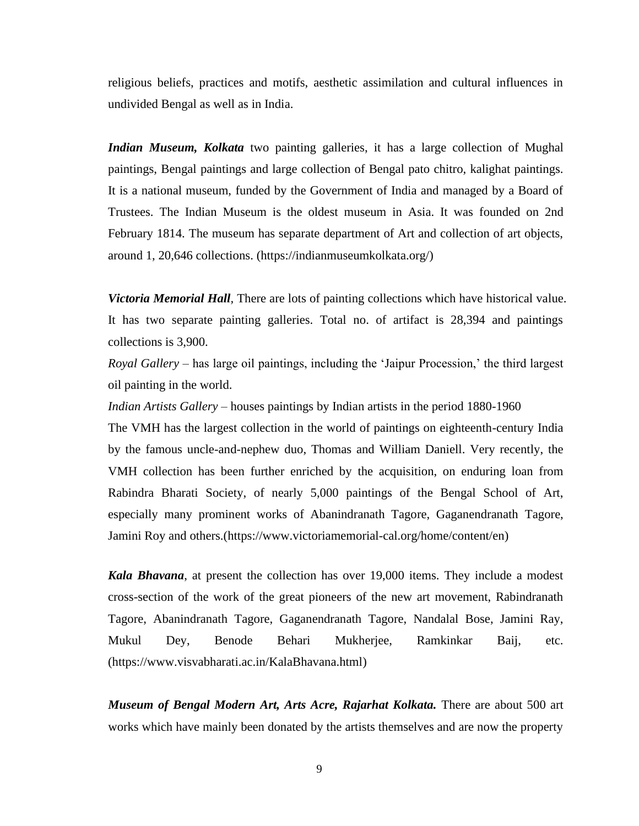religious beliefs, practices and motifs, aesthetic assimilation and cultural influences in undivided Bengal as well as in India.

*Indian Museum, Kolkata* two painting galleries, it has a large collection of Mughal paintings, Bengal paintings and large collection of Bengal pato chitro, kalighat paintings. It is a national museum, funded by the Government of India and managed by a Board of Trustees. The Indian Museum is the oldest museum in Asia. It was founded on 2nd February 1814. The museum has separate department of Art and collection of art objects, around 1, 20,646 collections. (https://indianmuseumkolkata.org/)

*Victoria Memorial Hall,* There are lots of painting collections which have historical value. It has two separate painting galleries. Total no. of artifact is 28,394 and paintings collections is 3,900.

*Royal Gallery* – has large oil paintings, including the 'Jaipur Procession,' the third largest oil painting in the world.

*Indian Artists Gallery* – houses paintings by Indian artists in the period 1880-1960

The VMH has the largest collection in the world of paintings on eighteenth-century India by the famous uncle-and-nephew duo, Thomas and William Daniell. Very recently, the VMH collection has been further enriched by the acquisition, on enduring loan from Rabindra Bharati Society, of nearly 5,000 paintings of the Bengal School of Art, especially many prominent works of Abanindranath Tagore, Gaganendranath Tagore, Jamini Roy and others.(https://www.victoriamemorial-cal.org/home/content/en)

*Kala Bhavana*, at present the collection has over 19,000 items. They include a modest cross-section of the work of the great pioneers of the new art movement, Rabindranath Tagore, Abanindranath Tagore, Gaganendranath Tagore, Nandalal Bose, Jamini Ray, Mukul Dey, Benode Behari Mukherjee, Ramkinkar Baij, etc. (https://www.visvabharati.ac.in/KalaBhavana.html)

*Museum of Bengal Modern Art, Arts Acre, Rajarhat Kolkata. There are about 500 art* works which have mainly been donated by the artists themselves and are now the property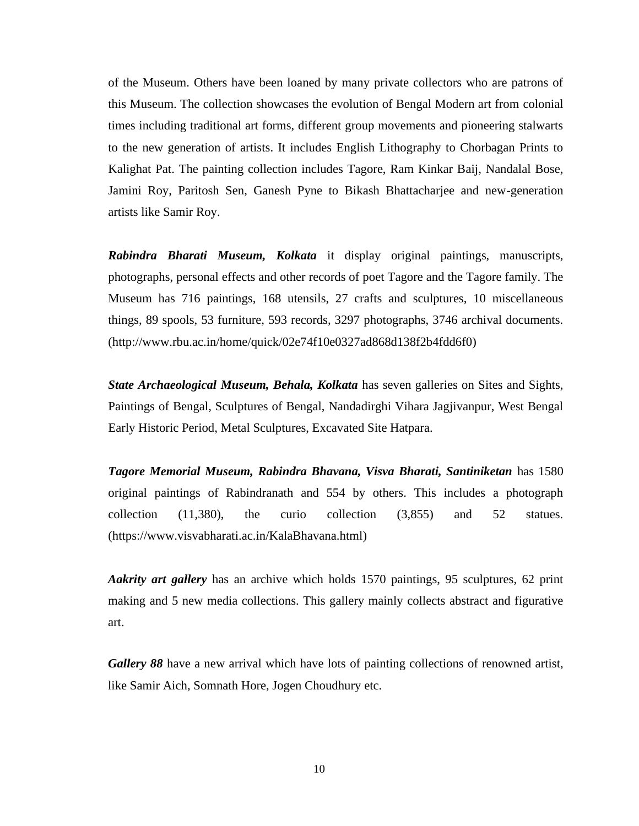of the Museum. Others have been loaned by many private collectors who are patrons of this Museum. The collection showcases the evolution of Bengal Modern art from colonial times including traditional art forms, different group movements and pioneering stalwarts to the new generation of artists. It includes English Lithography to Chorbagan Prints to Kalighat Pat. The painting collection includes Tagore, Ram Kinkar Baij, Nandalal Bose, Jamini Roy, Paritosh Sen, Ganesh Pyne to Bikash Bhattacharjee and new-generation artists like Samir Roy.

*Rabindra Bharati Museum, Kolkata* it display original paintings, manuscripts, photographs, personal effects and other records of poet Tagore and the Tagore family. The Museum has 716 paintings, 168 utensils, 27 crafts and sculptures, 10 miscellaneous things, 89 spools, 53 furniture, 593 records, 3297 photographs, 3746 archival documents. (http://www.rbu.ac.in/home/quick/02e74f10e0327ad868d138f2b4fdd6f0)

*State Archaeological Museum, Behala, Kolkata* has seven galleries on Sites and Sights, Paintings of Bengal, Sculptures of Bengal, Nandadirghi Vihara Jagjivanpur, West Bengal Early Historic Period, Metal Sculptures, Excavated Site Hatpara.

*Tagore Memorial Museum, Rabindra Bhavana, Visva Bharati, Santiniketan* has 1580 original paintings of Rabindranath and 554 by others. This includes a photograph collection (11,380), the curio collection (3,855) and 52 statues. (https://www.visvabharati.ac.in/KalaBhavana.html)

*Aakrity art gallery* has an archive which holds 1570 paintings, 95 sculptures, 62 print making and 5 new media collections. This gallery mainly collects abstract and figurative art.

*Gallery 88* have a new arrival which have lots of painting collections of renowned artist, like Samir Aich, Somnath Hore, Jogen Choudhury etc.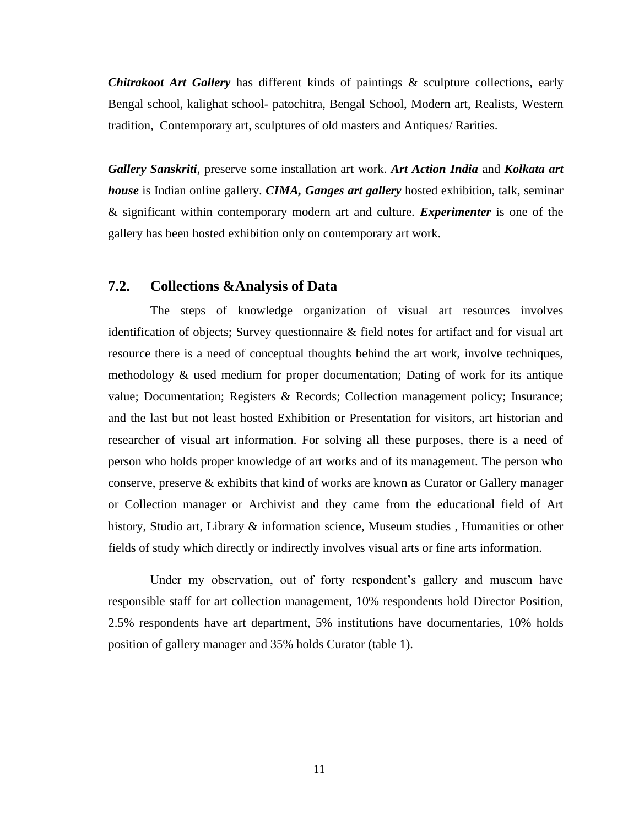*Chitrakoot Art Gallery* has different kinds of paintings & sculpture collections, early Bengal school, kalighat school- patochitra, Bengal School, Modern art, Realists, Western tradition, Contemporary art, sculptures of old masters and Antiques/ Rarities.

*Gallery Sanskriti*, preserve some installation art work. *Art Action India* and *Kolkata art house* is Indian online gallery. *CIMA, Ganges art gallery* hosted exhibition, talk, seminar & significant within contemporary modern art and culture. *Experimenter* is one of the gallery has been hosted exhibition only on contemporary art work.

## **7.2. Collections &Analysis of Data**

The steps of knowledge organization of visual art resources involves identification of objects; Survey questionnaire & field notes for artifact and for visual art resource there is a need of conceptual thoughts behind the art work, involve techniques, methodology & used medium for proper documentation; Dating of work for its antique value; Documentation; Registers & Records; Collection management policy; Insurance; and the last but not least hosted Exhibition or Presentation for visitors, art historian and researcher of visual art information. For solving all these purposes, there is a need of person who holds proper knowledge of art works and of its management. The person who conserve, preserve & exhibits that kind of works are known as Curator or Gallery manager or Collection manager or Archivist and they came from the educational field of Art history, Studio art, Library & information science, Museum studies , Humanities or other fields of study which directly or indirectly involves visual arts or fine arts information.

Under my observation, out of forty respondent's gallery and museum have responsible staff for art collection management, 10% respondents hold Director Position, 2.5% respondents have art department, 5% institutions have documentaries, 10% holds position of gallery manager and 35% holds Curator (table 1).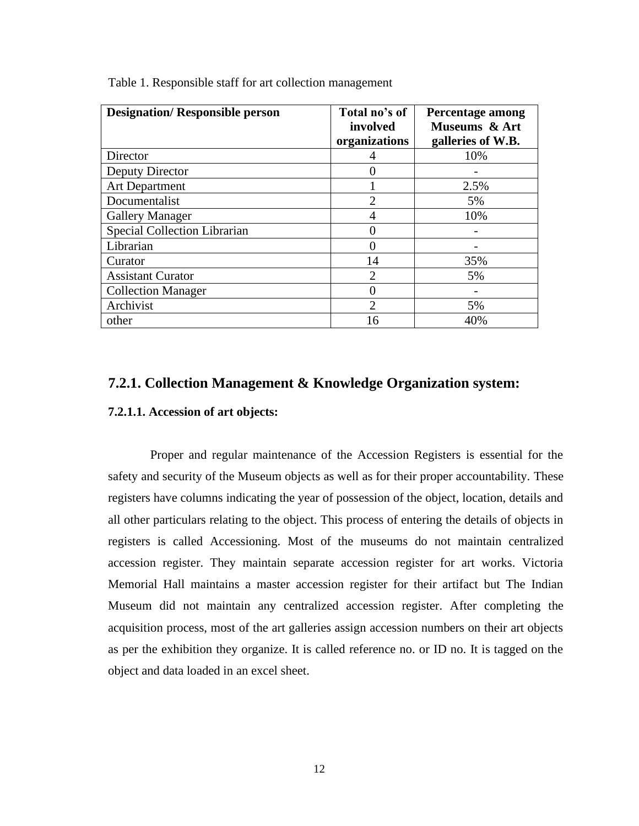| <b>Designation/Responsible person</b> | Total no's of<br>involved<br>organizations | Percentage among<br>Museums & Art<br>galleries of W.B. |
|---------------------------------------|--------------------------------------------|--------------------------------------------------------|
| Director                              | 4                                          | 10%                                                    |
| Deputy Director                       | 0                                          |                                                        |
| <b>Art Department</b>                 |                                            | 2.5%                                                   |
| Documentalist                         | $\overline{2}$                             | 5%                                                     |
| <b>Gallery Manager</b>                | 4                                          | 10%                                                    |
| Special Collection Librarian          | 0                                          |                                                        |
| Librarian                             |                                            |                                                        |
| Curator                               | 14                                         | 35%                                                    |
| <b>Assistant Curator</b>              | $\overline{2}$                             | 5%                                                     |
| <b>Collection Manager</b>             | 0                                          |                                                        |
| Archivist                             | $\overline{2}$                             | 5%                                                     |
| other                                 | 16                                         | 40%                                                    |

Table 1. Responsible staff for art collection management

### **7.2.1. Collection Management & Knowledge Organization system:**

#### **7.2.1.1. Accession of art objects:**

Proper and regular maintenance of the Accession Registers is essential for the safety and security of the Museum objects as well as for their proper accountability. These registers have columns indicating the year of possession of the object, location, details and all other particulars relating to the object. This process of entering the details of objects in registers is called Accessioning. Most of the museums do not maintain centralized accession register. They maintain separate accession register for art works. Victoria Memorial Hall maintains a master accession register for their artifact but The Indian Museum did not maintain any centralized accession register. After completing the acquisition process, most of the art galleries assign accession numbers on their art objects as per the exhibition they organize. It is called reference no. or ID no. It is tagged on the object and data loaded in an excel sheet.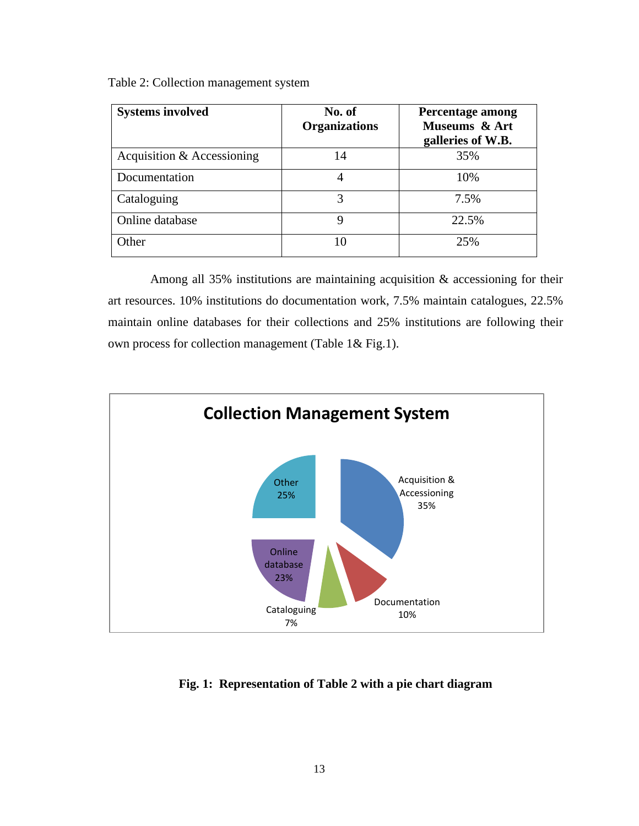Table 2: Collection management system

| <b>Systems involved</b>      | No. of<br><b>Organizations</b> | Percentage among<br>Museums & Art<br>galleries of W.B. |
|------------------------------|--------------------------------|--------------------------------------------------------|
| Acquisition $&$ Accessioning | 14                             | 35%                                                    |
| Documentation                | 4                              | 10%                                                    |
| Cataloguing                  |                                | 7.5%                                                   |
| Online database              | 9                              | 22.5%                                                  |
| Other                        | 10                             | 25%                                                    |

Among all 35% institutions are maintaining acquisition & accessioning for their art resources. 10% institutions do documentation work, 7.5% maintain catalogues, 22.5% maintain online databases for their collections and 25% institutions are following their own process for collection management (Table 1& Fig.1).



**Fig. 1: Representation of Table 2 with a pie chart diagram**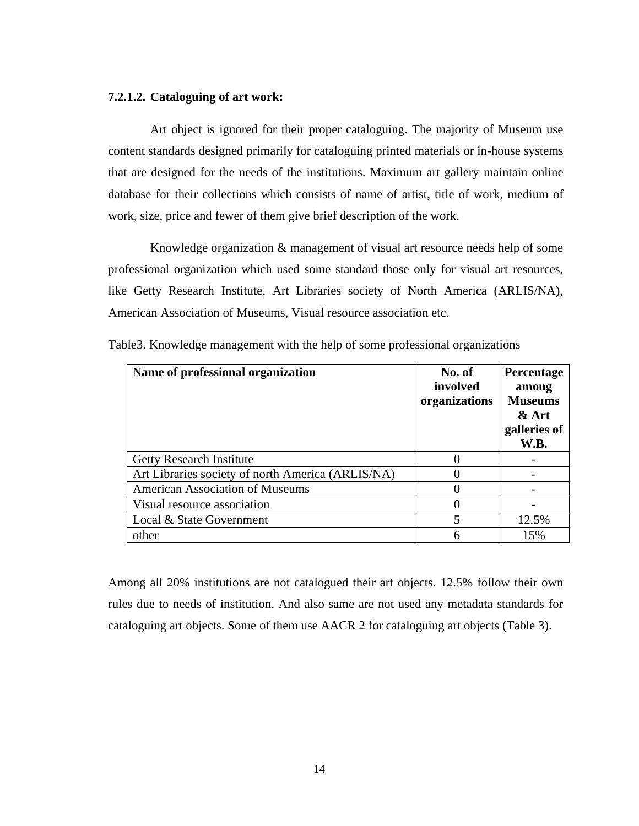#### **7.2.1.2. Cataloguing of art work:**

Art object is ignored for their proper cataloguing. The majority of Museum use content standards designed primarily for cataloguing printed materials or in-house systems that are designed for the needs of the institutions. Maximum art gallery maintain online database for their collections which consists of name of artist, title of work, medium of work, size, price and fewer of them give brief description of the work.

Knowledge organization & management of visual art resource needs help of some professional organization which used some standard those only for visual art resources, like Getty Research Institute, Art Libraries society of North America (ARLIS/NA), American Association of Museums, Visual resource association etc.

| Name of professional organization                 | No. of<br>involved<br>organizations | Percentage<br>among<br><b>Museums</b><br>& Art<br>galleries of<br>W.B. |
|---------------------------------------------------|-------------------------------------|------------------------------------------------------------------------|
| <b>Getty Research Institute</b>                   |                                     |                                                                        |
| Art Libraries society of north America (ARLIS/NA) |                                     |                                                                        |
| <b>American Association of Museums</b>            |                                     |                                                                        |
| Visual resource association                       |                                     |                                                                        |
| Local & State Government                          | 5                                   | 12.5%                                                                  |
| other                                             | 6                                   | 15%                                                                    |

Table3. Knowledge management with the help of some professional organizations

Among all 20% institutions are not catalogued their art objects. 12.5% follow their own rules due to needs of institution. And also same are not used any metadata standards for cataloguing art objects. Some of them use AACR 2 for cataloguing art objects (Table 3).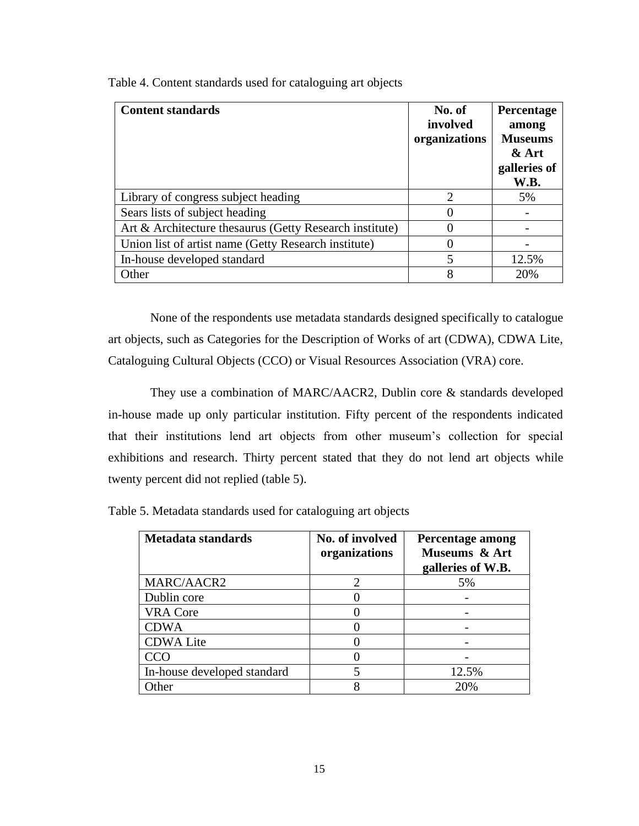| <b>Content standards</b>                                | No. of<br>involved<br>organizations | Percentage<br>among<br><b>Museums</b><br>$&$ Art<br>galleries of<br>W.B. |
|---------------------------------------------------------|-------------------------------------|--------------------------------------------------------------------------|
| Library of congress subject heading                     | $\mathcal{D}_{\mathcal{L}}$         | 5%                                                                       |
| Sears lists of subject heading                          | $\mathbf{\Omega}$                   |                                                                          |
| Art & Architecture thesaurus (Getty Research institute) | 0                                   |                                                                          |
| Union list of artist name (Getty Research institute)    | 0                                   |                                                                          |
| In-house developed standard                             | 5                                   | 12.5%                                                                    |
| Other                                                   | 8                                   | 20%                                                                      |

Table 4. Content standards used for cataloguing art objects

None of the respondents use metadata standards designed specifically to catalogue art objects, such as Categories for the Description of Works of art (CDWA), CDWA Lite, Cataloguing Cultural Objects (CCO) or Visual Resources Association (VRA) core.

They use a combination of MARC/AACR2, Dublin core & standards developed in-house made up only particular institution. Fifty percent of the respondents indicated that their institutions lend art objects from other museum's collection for special exhibitions and research. Thirty percent stated that they do not lend art objects while twenty percent did not replied (table 5).

| Metadata standards          | No. of involved<br>organizations | Percentage among<br>Museums & Art<br>galleries of W.B. |
|-----------------------------|----------------------------------|--------------------------------------------------------|
| MARC/AACR2                  |                                  | 5%                                                     |
| Dublin core                 |                                  |                                                        |
| <b>VRA Core</b>             |                                  |                                                        |
| <b>CDWA</b>                 |                                  |                                                        |
| <b>CDWA Lite</b>            |                                  |                                                        |
| CCO                         |                                  |                                                        |
| In-house developed standard |                                  | 12.5%                                                  |
| Other                       |                                  | 20%                                                    |

Table 5. Metadata standards used for cataloguing art objects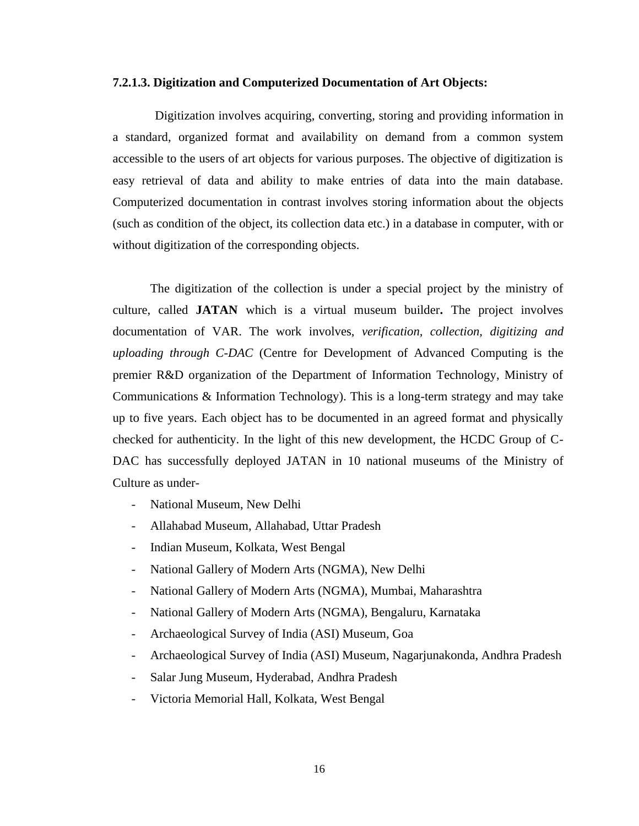#### **7.2.1.3. Digitization and Computerized Documentation of Art Objects:**

Digitization involves acquiring, converting, storing and providing information in a standard, organized format and availability on demand from a common system accessible to the users of art objects for various purposes. The objective of digitization is easy retrieval of data and ability to make entries of data into the main database. Computerized documentation in contrast involves storing information about the objects (such as condition of the object, its collection data etc.) in a database in computer, with or without digitization of the corresponding objects.

The digitization of the collection is under a special project by the ministry of culture, called **JATAN** which is a virtual museum builder**.** The project involves documentation of VAR. The work involves, *verification, collection, digitizing and uploading through C-DAC* (Centre for Development of Advanced Computing is the premier R&D organization of the Department of Information Technology, Ministry of Communications & Information Technology). This is a long-term strategy and may take up to five years. Each object has to be documented in an agreed format and physically checked for authenticity. In the light of this new development, the HCDC Group of C-DAC has successfully deployed JATAN in 10 national museums of the Ministry of Culture as under-

- National Museum, New Delhi
- Allahabad Museum, Allahabad, Uttar Pradesh
- Indian Museum, Kolkata, West Bengal
- National Gallery of Modern Arts (NGMA), New Delhi
- National Gallery of Modern Arts (NGMA), Mumbai, Maharashtra
- National Gallery of Modern Arts (NGMA), Bengaluru, Karnataka
- Archaeological Survey of India (ASI) Museum, Goa
- Archaeological Survey of India (ASI) Museum, Nagarjunakonda, Andhra Pradesh
- Salar Jung Museum, Hyderabad, Andhra Pradesh
- Victoria Memorial Hall, Kolkata, West Bengal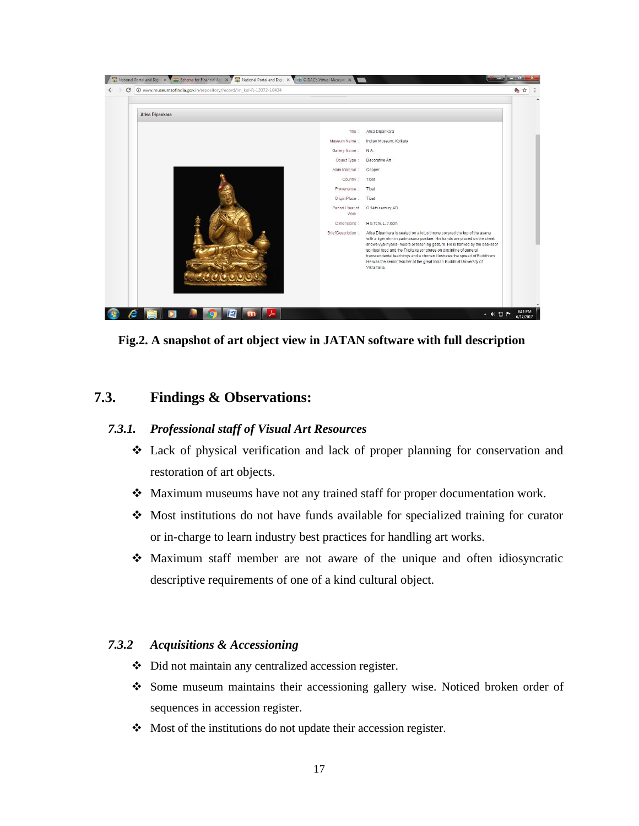

**Fig.2. A snapshot of art object view in JATAN software with full description**

# **7.3. Findings & Observations:**

### *7.3.1. Professional staff of Visual Art Resources*

- ❖ Lack of physical verification and lack of proper planning for conservation and restoration of art objects.
- ❖ Maximum museums have not any trained staff for proper documentation work.
- ❖ Most institutions do not have funds available for specialized training for curator or in-charge to learn industry best practices for handling art works.
- ❖ Maximum staff member are not aware of the unique and often idiosyncratic descriptive requirements of one of a kind cultural object.

### *7.3.2 Acquisitions & Accessioning*

- ❖ Did not maintain any centralized accession register.
- ❖ Some museum maintains their accessioning gallery wise. Noticed broken order of sequences in accession register.
- ❖ Most of the institutions do not update their accession register.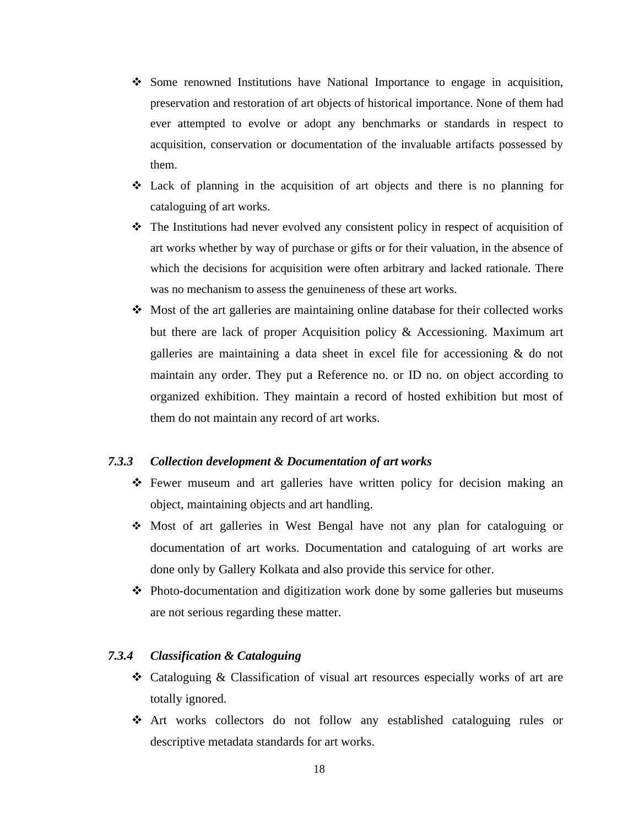- ❖ Some renowned Institutions have National Importance to engage in acquisition, preservation and restoration of art objects of historical importance. None of them had ever attempted to evolve or adopt any benchmarks or standards in respect to acquisition, conservation or documentation of the invaluable artifacts possessed by them.
- ❖ Lack of planning in the acquisition of art objects and there is no planning for cataloguing of art works.
- $\triangleleft$  The Institutions had never evolved any consistent policy in respect of acquisition of art works whether by way of purchase or gifts or for their valuation, in the absence of which the decisions for acquisition were often arbitrary and lacked rationale. There was no mechanism to assess the genuineness of these art works.
- ❖ Most of the art galleries are maintaining online database for their collected works but there are lack of proper Acquisition policy & Accessioning. Maximum art galleries are maintaining a data sheet in excel file for accessioning & do not maintain any order. They put a Reference no. or ID no. on object according to organized exhibition. They maintain a record of hosted exhibition but most of them do not maintain any record of art works.

#### *7.3.3 Collection development & Documentation of art works*

- ❖ Fewer museum and art galleries have written policy for decision making an object, maintaining objects and art handling.
- ❖ Most of art galleries in West Bengal have not any plan for cataloguing or documentation of art works. Documentation and cataloguing of art works are done only by Gallery Kolkata and also provide this service for other.
- ❖ Photo-documentation and digitization work done by some galleries but museums are not serious regarding these matter.

#### *7.3.4 Classification & Cataloguing*

- ❖ Cataloguing & Classification of visual art resources especially works of art are totally ignored.
- ❖ Art works collectors do not follow any established cataloguing rules or descriptive metadata standards for art works.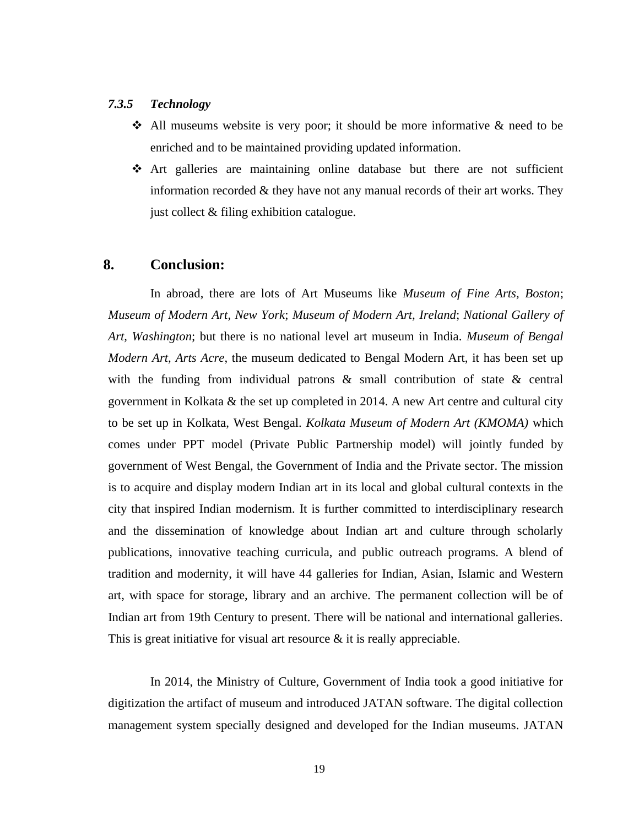#### *7.3.5 Technology*

- ❖ All museums website is very poor; it should be more informative & need to be enriched and to be maintained providing updated information.
- ❖ Art galleries are maintaining online database but there are not sufficient information recorded & they have not any manual records of their art works. They just collect & filing exhibition catalogue.

## **8. Conclusion:**

In abroad, there are lots of Art Museums like *Museum of Fine Arts, Boston*; *Museum of Modern Art, New York*; *Museum of Modern Art, Ireland*; *National Gallery of Art, Washington*; but there is no national level art museum in India. *Museum of Bengal Modern Art, Arts Acre*, the museum dedicated to Bengal Modern Art, it has been set up with the funding from individual patrons & small contribution of state & central government in Kolkata & the set up completed in 2014. A new Art centre and cultural city to be set up in Kolkata, West Bengal. *Kolkata Museum of Modern Art (KMOMA)* which comes under PPT model (Private Public Partnership model) will jointly funded by government of West Bengal, the Government of India and the Private sector. The mission is to acquire and display modern Indian art in its local and global cultural contexts in the city that inspired Indian modernism. It is further committed to interdisciplinary research and the dissemination of knowledge about Indian art and culture through scholarly publications, innovative teaching curricula, and public outreach programs. A blend of tradition and modernity, it will have 44 galleries for Indian, Asian, Islamic and Western art, with space for storage, library and an archive. The permanent collection will be of Indian art from 19th Century to present. There will be national and international galleries. This is great initiative for visual art resource  $\&$  it is really appreciable.

In 2014, the Ministry of Culture, Government of India took a good initiative for digitization the artifact of museum and introduced JATAN software. The digital collection management system specially designed and developed for the Indian museums. JATAN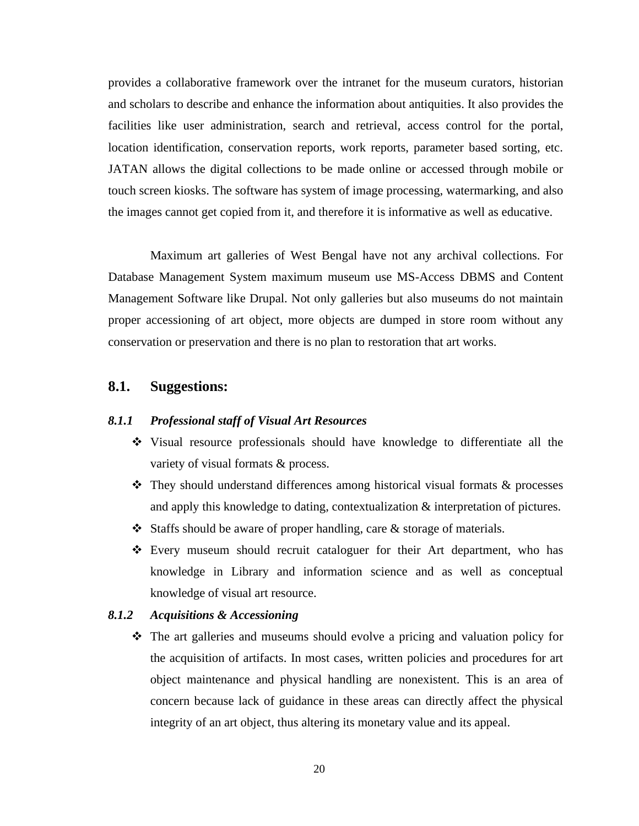provides a collaborative framework over the intranet for the museum curators, historian and scholars to describe and enhance the information about antiquities. It also provides the facilities like user administration, search and retrieval, access control for the portal, location identification, conservation reports, work reports, parameter based sorting, etc. JATAN allows the digital collections to be made online or accessed through mobile or touch screen kiosks. The software has system of image processing, watermarking, and also the images cannot get copied from it, and therefore it is informative as well as educative.

Maximum art galleries of West Bengal have not any archival collections. For Database Management System maximum museum use MS-Access DBMS and Content Management Software like Drupal. Not only galleries but also museums do not maintain proper accessioning of art object, more objects are dumped in store room without any conservation or preservation and there is no plan to restoration that art works.

# **8.1. Suggestions:**

#### *8.1.1 Professional staff of Visual Art Resources*

- ❖ Visual resource professionals should have knowledge to differentiate all the variety of visual formats & process.
- ❖ They should understand differences among historical visual formats & processes and apply this knowledge to dating, contextualization & interpretation of pictures.
- ❖ Staffs should be aware of proper handling, care & storage of materials.
- ❖ Every museum should recruit cataloguer for their Art department, who has knowledge in Library and information science and as well as conceptual knowledge of visual art resource.

#### *8.1.2 Acquisitions & Accessioning*

❖ The art galleries and museums should evolve a pricing and valuation policy for the acquisition of artifacts. In most cases, written policies and procedures for art object maintenance and physical handling are nonexistent. This is an area of concern because lack of guidance in these areas can directly affect the physical integrity of an art object, thus altering its monetary value and its appeal.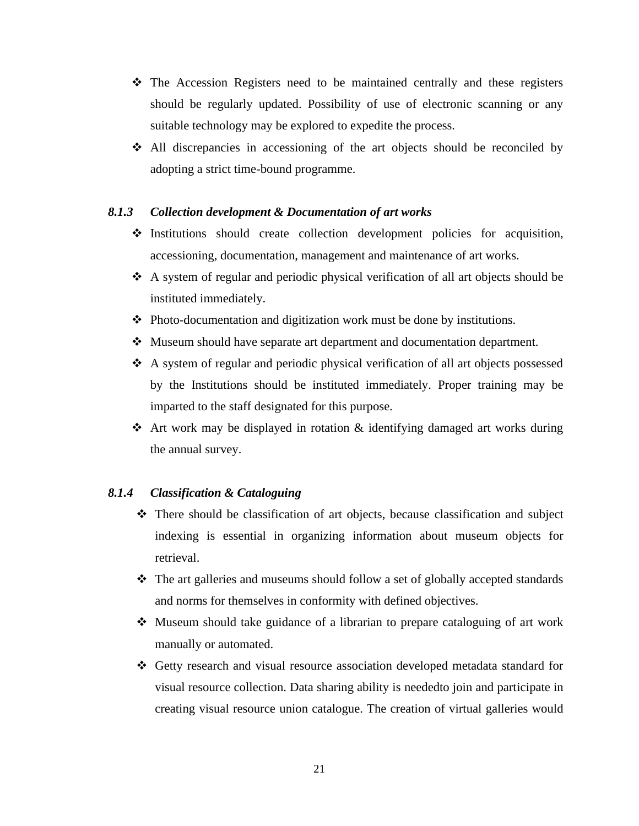- ❖ The Accession Registers need to be maintained centrally and these registers should be regularly updated. Possibility of use of electronic scanning or any suitable technology may be explored to expedite the process.
- ❖ All discrepancies in accessioning of the art objects should be reconciled by adopting a strict time-bound programme.

#### *8.1.3 Collection development & Documentation of art works*

- ❖ Institutions should create collection development policies for acquisition, accessioning, documentation, management and maintenance of art works.
- ❖ A system of regular and periodic physical verification of all art objects should be instituted immediately.
- ❖ Photo-documentation and digitization work must be done by institutions.
- ❖ Museum should have separate art department and documentation department.
- ❖ A system of regular and periodic physical verification of all art objects possessed by the Institutions should be instituted immediately. Proper training may be imparted to the staff designated for this purpose.
- ❖ Art work may be displayed in rotation & identifying damaged art works during the annual survey.

#### *8.1.4 Classification & Cataloguing*

- ❖ There should be classification of art objects, because classification and subject indexing is essential in organizing information about museum objects for retrieval.
- ❖ The art galleries and museums should follow a set of globally accepted standards and norms for themselves in conformity with defined objectives.
- ❖ Museum should take guidance of a librarian to prepare cataloguing of art work manually or automated.
- ❖ Getty research and visual resource association developed metadata standard for visual resource collection. Data sharing ability is neededto join and participate in creating visual resource union catalogue. The creation of virtual galleries would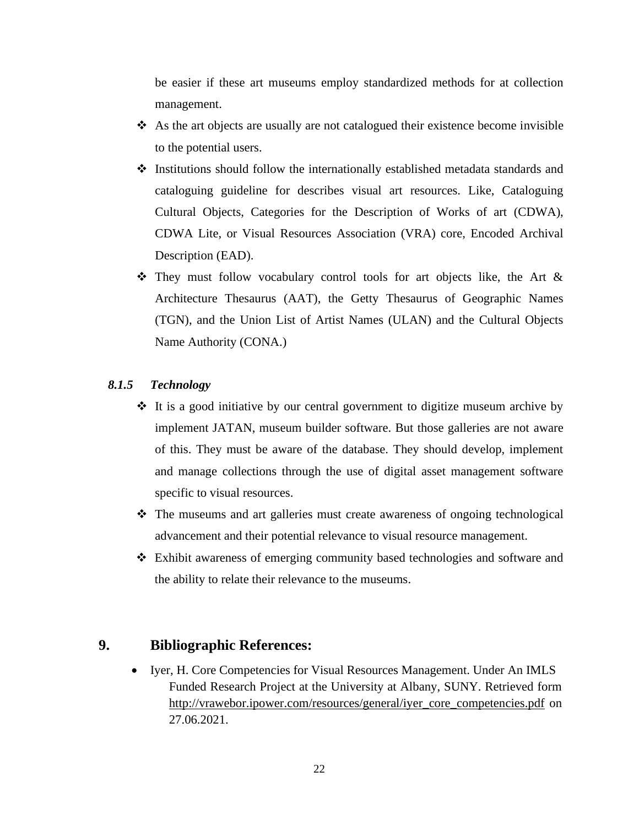be easier if these art museums employ standardized methods for at collection management.

- ❖ As the art objects are usually are not catalogued their existence become invisible to the potential users.
- ❖ Institutions should follow the internationally established metadata standards and cataloguing guideline for describes visual art resources. Like, Cataloguing Cultural Objects, Categories for the Description of Works of art (CDWA), CDWA Lite, or Visual Resources Association (VRA) core, Encoded Archival Description (EAD).
- $\hat{\mathbf{v}}$  They must follow vocabulary control tools for art objects like, the Art  $\&$ Architecture Thesaurus (AAT), the Getty Thesaurus of Geographic Names (TGN), and the Union List of Artist Names (ULAN) and the Cultural Objects Name Authority (CONA.)

# *8.1.5 Technology*

- ❖ It is a good initiative by our central government to digitize museum archive by implement JATAN, museum builder software. But those galleries are not aware of this. They must be aware of the database. They should develop, implement and manage collections through the use of digital asset management software specific to visual resources.
- ❖ The museums and art galleries must create awareness of ongoing technological advancement and their potential relevance to visual resource management.
- ❖ Exhibit awareness of emerging community based technologies and software and the ability to relate their relevance to the museums.

## **9. Bibliographic References:**

• Iyer, H. Core Competencies for Visual Resources Management. Under An IMLS Funded Research Project at the University at Albany, SUNY. Retrieved form [http://vrawebor.ipower.com/resources/general/iyer\\_core\\_competencies.pdf](http://vrawebor.ipower.com/resources/general/iyer_core_competencies.pdf) on 27.06.2021.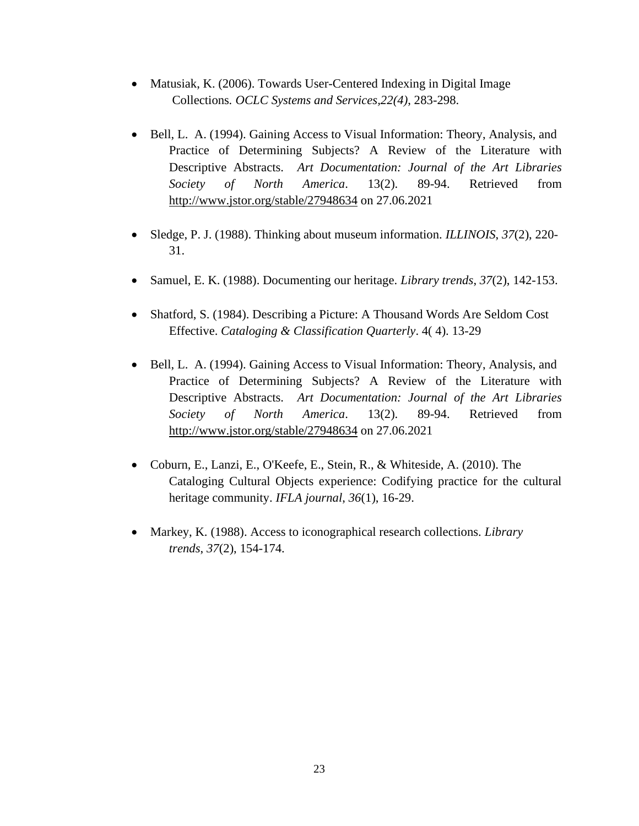- Matusiak, K. (2006). Towards User-Centered Indexing in Digital Image Collections*. OCLC Systems and Services,22(4)*, 283-298.
- Bell, L. A. (1994). Gaining Access to Visual Information: Theory, Analysis, and Practice of Determining Subjects? A Review of the Literature with Descriptive Abstracts. *Art Documentation: Journal of the Art Libraries Society of North America*. 13(2). 89-94. Retrieved from <http://www.jstor.org/stable/27948634> on 27.06.2021
- Sledge, P. J. (1988). Thinking about museum information. *ILLINOIS*, *37*(2), 220- 31.
- Samuel, E. K. (1988). Documenting our heritage. *Library trends*, *37*(2), 142-153.
- Shatford, S. (1984). Describing a Picture: A Thousand Words Are Seldom Cost Effective. *Cataloging & Classification Quarterly*. 4( 4). 13-29
- Bell, L. A. (1994). Gaining Access to Visual Information: Theory, Analysis, and Practice of Determining Subjects? A Review of the Literature with Descriptive Abstracts. *Art Documentation: Journal of the Art Libraries Society of North America*. 13(2). 89-94. Retrieved from <http://www.jstor.org/stable/27948634> on 27.06.2021
- Coburn, E., Lanzi, E., O'Keefe, E., Stein, R., & Whiteside, A. (2010). The Cataloging Cultural Objects experience: Codifying practice for the cultural heritage community. *IFLA journal*, *36*(1), 16-29.
- Markey, K. (1988). Access to iconographical research collections. *Library trends*, *37*(2), 154-174.